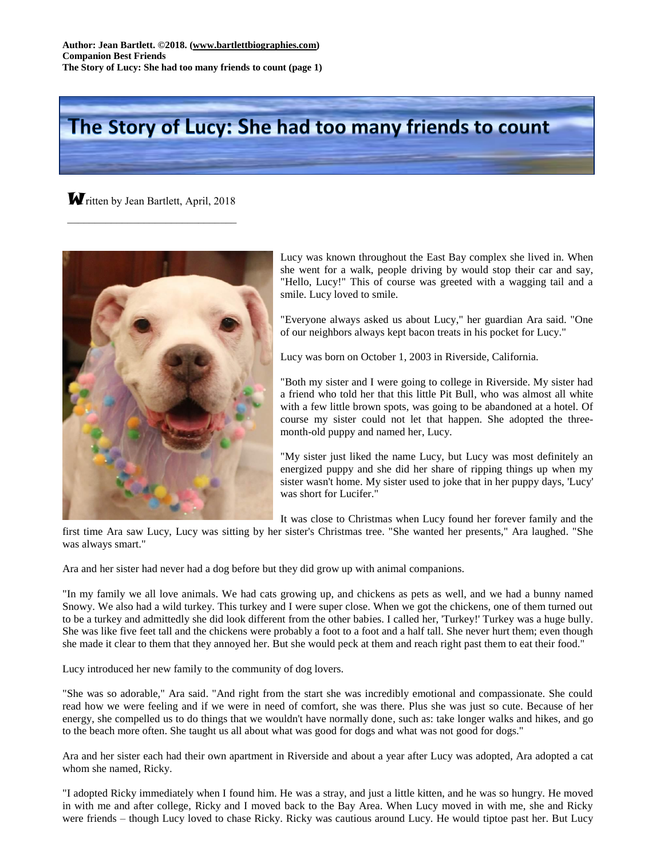## The Story of Lucy: She had too many friends to count

**W** ritten by Jean Bartlett, April, 2018  $\overline{\phantom{a}}$  , which is a set of the set of the set of the set of the set of the set of the set of the set of the set of the set of the set of the set of the set of the set of the set of the set of the set of the set of th



Lucy was known throughout the East Bay complex she lived in. When she went for a walk, people driving by would stop their car and say, "Hello, Lucy!" This of course was greeted with a wagging tail and a smile. Lucy loved to smile.

"Everyone always asked us about Lucy," her guardian Ara said. "One of our neighbors always kept bacon treats in his pocket for Lucy."

Lucy was born on October 1, 2003 in Riverside, California.

"Both my sister and I were going to college in Riverside. My sister had a friend who told her that this little Pit Bull, who was almost all white with a few little brown spots, was going to be abandoned at a hotel. Of course my sister could not let that happen. She adopted the threemonth-old puppy and named her, Lucy.

"My sister just liked the name Lucy, but Lucy was most definitely an energized puppy and she did her share of ripping things up when my sister wasn't home. My sister used to joke that in her puppy days, 'Lucy' was short for Lucifer."

It was close to Christmas when Lucy found her forever family and the

first time Ara saw Lucy, Lucy was sitting by her sister's Christmas tree. "She wanted her presents," Ara laughed. "She was always smart."

Ara and her sister had never had a dog before but they did grow up with animal companions.

"In my family we all love animals. We had cats growing up, and chickens as pets as well, and we had a bunny named Snowy. We also had a wild turkey. This turkey and I were super close. When we got the chickens, one of them turned out to be a turkey and admittedly she did look different from the other babies. I called her, 'Turkey!' Turkey was a huge bully. She was like five feet tall and the chickens were probably a foot to a foot and a half tall. She never hurt them; even though she made it clear to them that they annoyed her. But she would peck at them and reach right past them to eat their food."

Lucy introduced her new family to the community of dog lovers.

"She was so adorable," Ara said. "And right from the start she was incredibly emotional and compassionate. She could read how we were feeling and if we were in need of comfort, she was there. Plus she was just so cute. Because of her energy, she compelled us to do things that we wouldn't have normally done, such as: take longer walks and hikes, and go to the beach more often. She taught us all about what was good for dogs and what was not good for dogs."

Ara and her sister each had their own apartment in Riverside and about a year after Lucy was adopted, Ara adopted a cat whom she named, Ricky.

"I adopted Ricky immediately when I found him. He was a stray, and just a little kitten, and he was so hungry. He moved in with me and after college, Ricky and I moved back to the Bay Area. When Lucy moved in with me, she and Ricky were friends – though Lucy loved to chase Ricky. Ricky was cautious around Lucy. He would tiptoe past her. But Lucy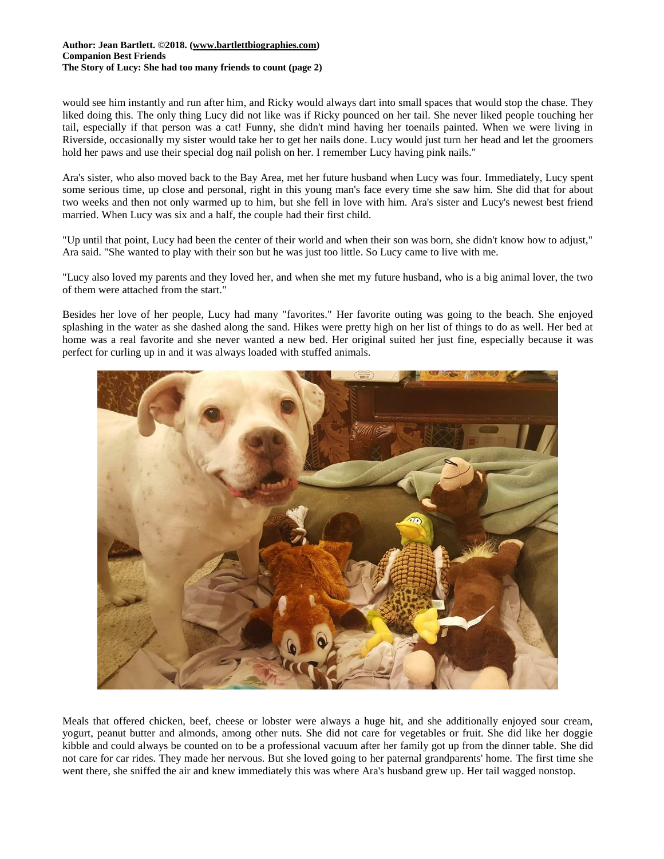## **Author: Jean Bartlett. ©2018. [\(www.bartlettbiographies.com\)](http://www.bartlettbiographies.com/) Companion Best Friends The Story of Lucy: She had too many friends to count (page 2)**

would see him instantly and run after him, and Ricky would always dart into small spaces that would stop the chase. They liked doing this. The only thing Lucy did not like was if Ricky pounced on her tail. She never liked people touching her tail, especially if that person was a cat! Funny, she didn't mind having her toenails painted. When we were living in Riverside, occasionally my sister would take her to get her nails done. Lucy would just turn her head and let the groomers hold her paws and use their special dog nail polish on her. I remember Lucy having pink nails."

Ara's sister, who also moved back to the Bay Area, met her future husband when Lucy was four. Immediately, Lucy spent some serious time, up close and personal, right in this young man's face every time she saw him. She did that for about two weeks and then not only warmed up to him, but she fell in love with him. Ara's sister and Lucy's newest best friend married. When Lucy was six and a half, the couple had their first child.

"Up until that point, Lucy had been the center of their world and when their son was born, she didn't know how to adjust," Ara said. "She wanted to play with their son but he was just too little. So Lucy came to live with me.

"Lucy also loved my parents and they loved her, and when she met my future husband, who is a big animal lover, the two of them were attached from the start."

Besides her love of her people, Lucy had many "favorites." Her favorite outing was going to the beach. She enjoyed splashing in the water as she dashed along the sand. Hikes were pretty high on her list of things to do as well. Her bed at home was a real favorite and she never wanted a new bed. Her original suited her just fine, especially because it was perfect for curling up in and it was always loaded with stuffed animals.



Meals that offered chicken, beef, cheese or lobster were always a huge hit, and she additionally enjoyed sour cream, yogurt, peanut butter and almonds, among other nuts. She did not care for vegetables or fruit. She did like her doggie kibble and could always be counted on to be a professional vacuum after her family got up from the dinner table. She did not care for car rides. They made her nervous. But she loved going to her paternal grandparents' home. The first time she went there, she sniffed the air and knew immediately this was where Ara's husband grew up. Her tail wagged nonstop.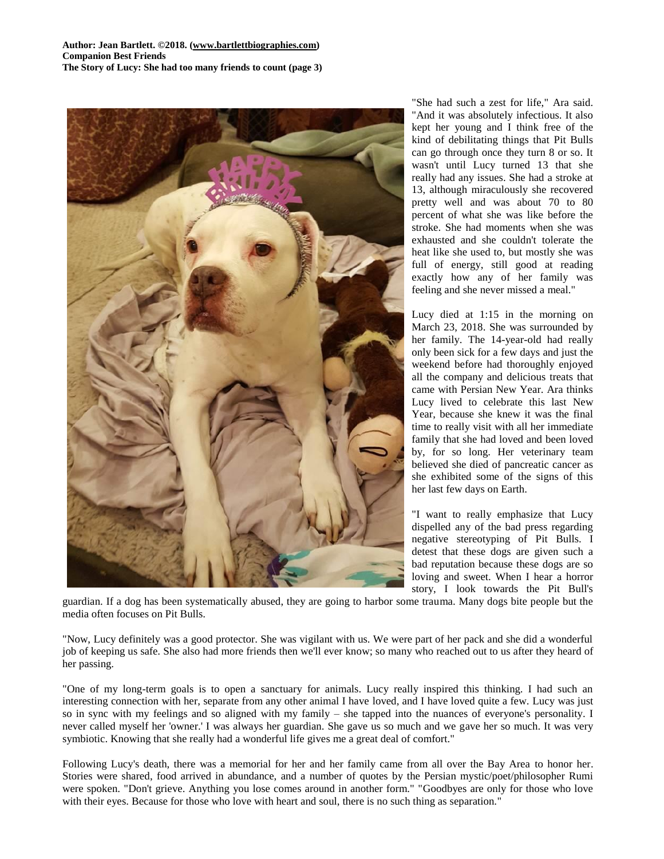**Author: Jean Bartlett. ©2018. [\(www.bartlettbiographies.com\)](http://www.bartlettbiographies.com/) Companion Best Friends The Story of Lucy: She had too many friends to count (page 3)**



"She had such a zest for life," Ara said. "And it was absolutely infectious. It also kept her young and I think free of the kind of debilitating things that Pit Bulls can go through once they turn 8 or so. It wasn't until Lucy turned 13 that she really had any issues. She had a stroke at 13, although miraculously she recovered pretty well and was about 70 to 80 percent of what she was like before the stroke. She had moments when she was exhausted and she couldn't tolerate the heat like she used to, but mostly she was full of energy, still good at reading exactly how any of her family was feeling and she never missed a meal."

Lucy died at 1:15 in the morning on March 23, 2018. She was surrounded by her family. The 14-year-old had really only been sick for a few days and just the weekend before had thoroughly enjoyed all the company and delicious treats that came with Persian New Year. Ara thinks Lucy lived to celebrate this last New Year, because she knew it was the final time to really visit with all her immediate family that she had loved and been loved by, for so long. Her veterinary team believed she died of pancreatic cancer as she exhibited some of the signs of this her last few days on Earth.

"I want to really emphasize that Lucy dispelled any of the bad press regarding negative stereotyping of Pit Bulls. I detest that these dogs are given such a bad reputation because these dogs are so loving and sweet. When I hear a horror story, I look towards the Pit Bull's

guardian. If a dog has been systematically abused, they are going to harbor some trauma. Many dogs bite people but the media often focuses on Pit Bulls.

"Now, Lucy definitely was a good protector. She was vigilant with us. We were part of her pack and she did a wonderful job of keeping us safe. She also had more friends then we'll ever know; so many who reached out to us after they heard of her passing.

"One of my long-term goals is to open a sanctuary for animals. Lucy really inspired this thinking. I had such an interesting connection with her, separate from any other animal I have loved, and I have loved quite a few. Lucy was just so in sync with my feelings and so aligned with my family – she tapped into the nuances of everyone's personality. I never called myself her 'owner.' I was always her guardian. She gave us so much and we gave her so much. It was very symbiotic. Knowing that she really had a wonderful life gives me a great deal of comfort."

Following Lucy's death, there was a memorial for her and her family came from all over the Bay Area to honor her. Stories were shared, food arrived in abundance, and a number of quotes by the Persian mystic/poet/philosopher Rumi were spoken. "Don't grieve. Anything you lose comes around in another form." "Goodbyes are only for those who love with their eyes. Because for those who love with heart and soul, there is no such thing as separation."